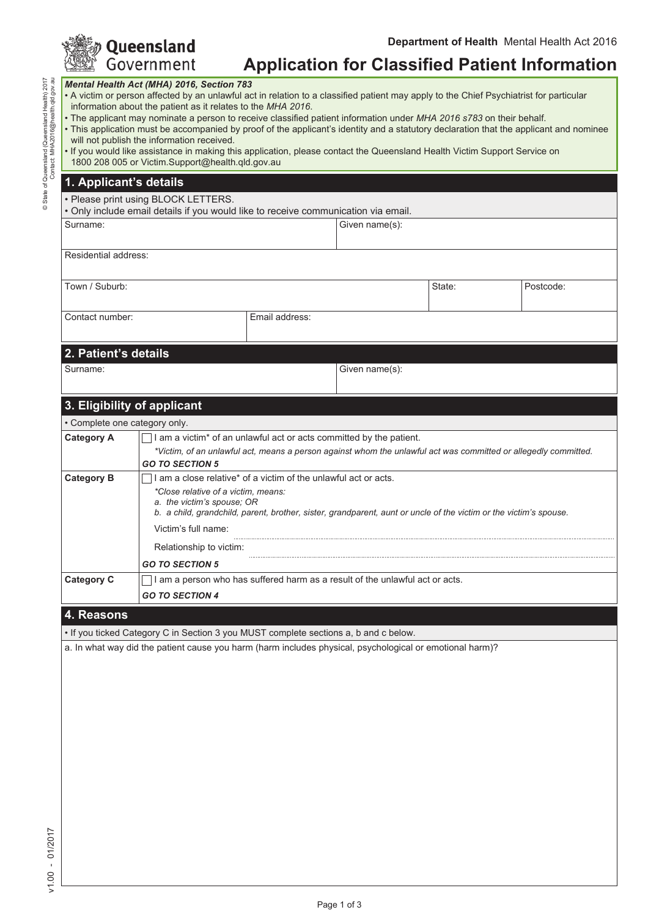|                                                                                      |                                                                                                                                                                                                                                                                                                                                                                                                                                                                                                                                                                                                                                                                                                                                                       | Queensland                                                    |                |                |        | Department of Health Mental Health Act 2016           |  |
|--------------------------------------------------------------------------------------|-------------------------------------------------------------------------------------------------------------------------------------------------------------------------------------------------------------------------------------------------------------------------------------------------------------------------------------------------------------------------------------------------------------------------------------------------------------------------------------------------------------------------------------------------------------------------------------------------------------------------------------------------------------------------------------------------------------------------------------------------------|---------------------------------------------------------------|----------------|----------------|--------|-------------------------------------------------------|--|
| © State of Queensland (Queensland Health) 2017<br>Contact: MHA2016@health.qld.gov.au |                                                                                                                                                                                                                                                                                                                                                                                                                                                                                                                                                                                                                                                                                                                                                       | Government                                                    |                |                |        | <b>Application for Classified Patient Information</b> |  |
|                                                                                      | Mental Health Act (MHA) 2016, Section 783<br>. A victim or person affected by an unlawful act in relation to a classified patient may apply to the Chief Psychiatrist for particular<br>information about the patient as it relates to the MHA 2016.<br>• The applicant may nominate a person to receive classified patient information under MHA 2016 s783 on their behalf.<br>• This application must be accompanied by proof of the applicant's identity and a statutory declaration that the applicant and nominee<br>will not publish the information received.<br>. If you would like assistance in making this application, please contact the Queensland Health Victim Support Service on<br>1800 208 005 or Victim.Support@health.qld.gov.au |                                                               |                |                |        |                                                       |  |
|                                                                                      |                                                                                                                                                                                                                                                                                                                                                                                                                                                                                                                                                                                                                                                                                                                                                       | 1. Applicant's details                                        |                |                |        |                                                       |  |
|                                                                                      | • Please print using BLOCK LETTERS.<br>. Only include email details if you would like to receive communication via email.                                                                                                                                                                                                                                                                                                                                                                                                                                                                                                                                                                                                                             |                                                               |                |                |        |                                                       |  |
|                                                                                      | Surname:                                                                                                                                                                                                                                                                                                                                                                                                                                                                                                                                                                                                                                                                                                                                              |                                                               |                | Given name(s): |        |                                                       |  |
|                                                                                      | Residential address:                                                                                                                                                                                                                                                                                                                                                                                                                                                                                                                                                                                                                                                                                                                                  |                                                               |                |                |        |                                                       |  |
|                                                                                      | Town / Suburb:                                                                                                                                                                                                                                                                                                                                                                                                                                                                                                                                                                                                                                                                                                                                        |                                                               |                |                | State: | Postcode:                                             |  |
|                                                                                      | Contact number:                                                                                                                                                                                                                                                                                                                                                                                                                                                                                                                                                                                                                                                                                                                                       |                                                               | Email address: |                |        |                                                       |  |
|                                                                                      | 2. Patient's details                                                                                                                                                                                                                                                                                                                                                                                                                                                                                                                                                                                                                                                                                                                                  |                                                               |                |                |        |                                                       |  |
|                                                                                      | Surname:                                                                                                                                                                                                                                                                                                                                                                                                                                                                                                                                                                                                                                                                                                                                              |                                                               |                | Given name(s): |        |                                                       |  |
|                                                                                      | 3. Eligibility of applicant                                                                                                                                                                                                                                                                                                                                                                                                                                                                                                                                                                                                                                                                                                                           |                                                               |                |                |        |                                                       |  |
|                                                                                      | • Complete one category only.                                                                                                                                                                                                                                                                                                                                                                                                                                                                                                                                                                                                                                                                                                                         |                                                               |                |                |        |                                                       |  |
|                                                                                      | <b>Category A</b><br>I am a victim* of an unlawful act or acts committed by the patient.<br>*Victim, of an unlawful act, means a person against whom the unlawful act was committed or allegedly committed.<br><b>GO TO SECTION 5</b>                                                                                                                                                                                                                                                                                                                                                                                                                                                                                                                 |                                                               |                |                |        |                                                       |  |
|                                                                                      | <b>Category B</b>                                                                                                                                                                                                                                                                                                                                                                                                                                                                                                                                                                                                                                                                                                                                     | am a close relative* of a victim of the unlawful act or acts. |                |                |        |                                                       |  |

### **4. Reasons**

• If you ticked Category C in Section 3 you MUST complete sections a, b and c below.

a. In what way did the patient cause you harm (harm includes physical, psychological or emotional harm)?

Page 1 of 3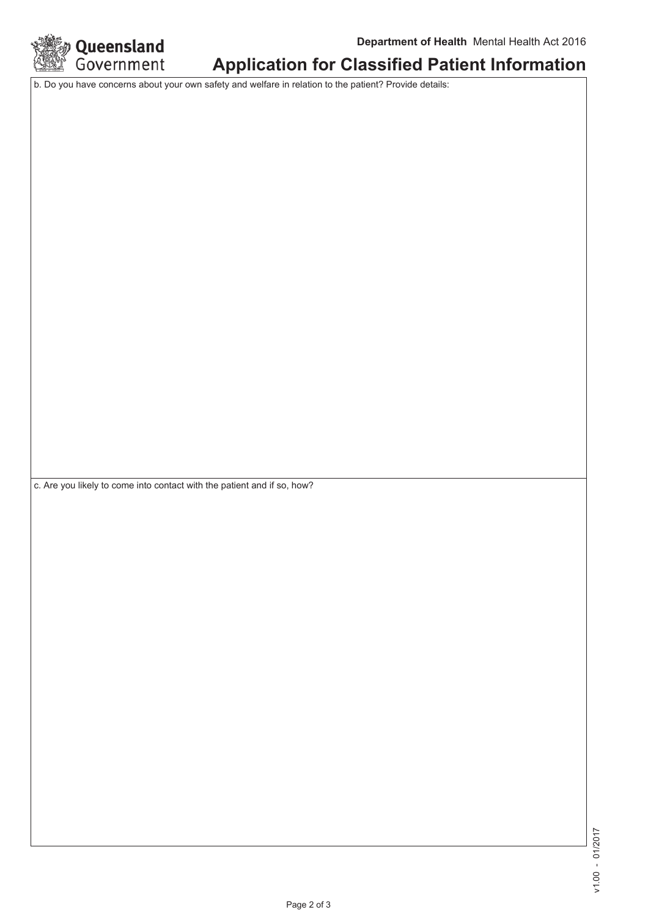

# **Application for Classified Patient Information**

b. Do you have concerns about your own safety and welfare in relation to the patient? Provide details:

c. Are you likely to come into contact with the patient and if so, how?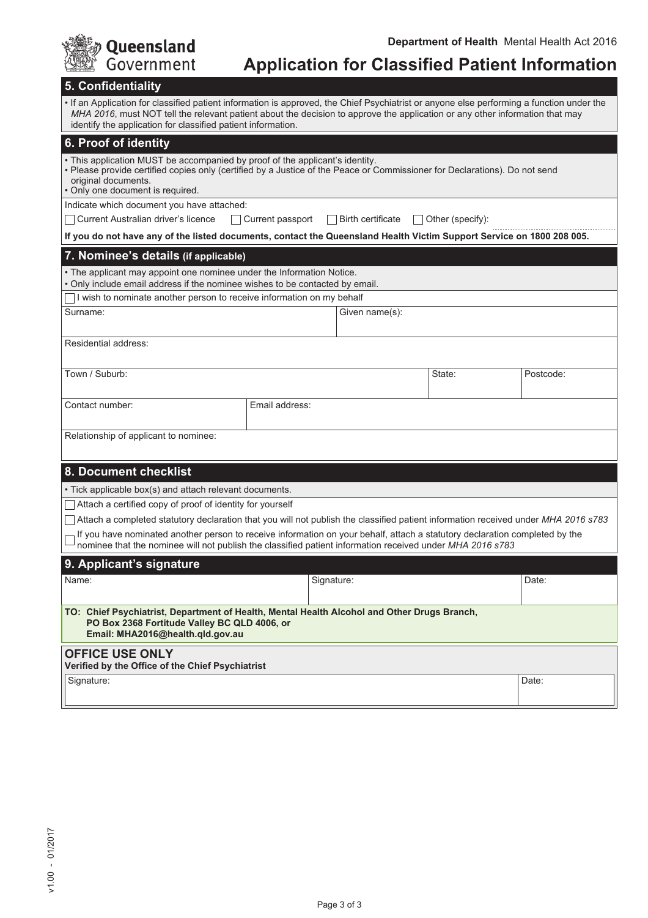| Queensland                                                                                                                                                                                                                               |                                                                                                                                                                                                                                                                                                                                         |            |                   |                         | Department of Health Mental Health Act 2016           |  |
|------------------------------------------------------------------------------------------------------------------------------------------------------------------------------------------------------------------------------------------|-----------------------------------------------------------------------------------------------------------------------------------------------------------------------------------------------------------------------------------------------------------------------------------------------------------------------------------------|------------|-------------------|-------------------------|-------------------------------------------------------|--|
| Government                                                                                                                                                                                                                               |                                                                                                                                                                                                                                                                                                                                         |            |                   |                         | <b>Application for Classified Patient Information</b> |  |
| 5. Confidentiality                                                                                                                                                                                                                       |                                                                                                                                                                                                                                                                                                                                         |            |                   |                         |                                                       |  |
|                                                                                                                                                                                                                                          | If an Application for classified patient information is approved, the Chief Psychiatrist or anyone else performing a function under the<br>MHA 2016, must NOT tell the relevant patient about the decision to approve the application or any other information that may<br>identify the application for classified patient information. |            |                   |                         |                                                       |  |
| 6. Proof of identity                                                                                                                                                                                                                     |                                                                                                                                                                                                                                                                                                                                         |            |                   |                         |                                                       |  |
| original documents.<br>• Only one document is required.                                                                                                                                                                                  | . This application MUST be accompanied by proof of the applicant's identity.<br>• Please provide certified copies only (certified by a Justice of the Peace or Commissioner for Declarations). Do not send                                                                                                                              |            |                   |                         |                                                       |  |
| Indicate which document you have attached:                                                                                                                                                                                               |                                                                                                                                                                                                                                                                                                                                         |            |                   |                         |                                                       |  |
| Current Australian driver's licence                                                                                                                                                                                                      | Current passport                                                                                                                                                                                                                                                                                                                        |            | Birth certificate | $\Box$ Other (specify): |                                                       |  |
| If you do not have any of the listed documents, contact the Queensland Health Victim Support Service on 1800 208 005.                                                                                                                    |                                                                                                                                                                                                                                                                                                                                         |            |                   |                         |                                                       |  |
| 7. Nominee's details (if applicable)                                                                                                                                                                                                     |                                                                                                                                                                                                                                                                                                                                         |            |                   |                         |                                                       |  |
| • The applicant may appoint one nominee under the Information Notice.<br>. Only include email address if the nominee wishes to be contacted by email.                                                                                    |                                                                                                                                                                                                                                                                                                                                         |            |                   |                         |                                                       |  |
| I wish to nominate another person to receive information on my behalf                                                                                                                                                                    |                                                                                                                                                                                                                                                                                                                                         |            |                   |                         |                                                       |  |
| Surname:                                                                                                                                                                                                                                 |                                                                                                                                                                                                                                                                                                                                         |            | Given name(s):    |                         |                                                       |  |
| Residential address:                                                                                                                                                                                                                     |                                                                                                                                                                                                                                                                                                                                         |            |                   |                         |                                                       |  |
| Town / Suburb:                                                                                                                                                                                                                           |                                                                                                                                                                                                                                                                                                                                         |            |                   | State:                  | Postcode:                                             |  |
| Contact number:                                                                                                                                                                                                                          | Email address:                                                                                                                                                                                                                                                                                                                          |            |                   |                         |                                                       |  |
| Relationship of applicant to nominee:                                                                                                                                                                                                    |                                                                                                                                                                                                                                                                                                                                         |            |                   |                         |                                                       |  |
|                                                                                                                                                                                                                                          |                                                                                                                                                                                                                                                                                                                                         |            |                   |                         |                                                       |  |
| 8. Document checklist                                                                                                                                                                                                                    |                                                                                                                                                                                                                                                                                                                                         |            |                   |                         |                                                       |  |
| • Tick applicable box(s) and attach relevant documents.                                                                                                                                                                                  |                                                                                                                                                                                                                                                                                                                                         |            |                   |                         |                                                       |  |
| Attach a certified copy of proof of identity for yourself                                                                                                                                                                                |                                                                                                                                                                                                                                                                                                                                         |            |                   |                         |                                                       |  |
| Attach a completed statutory declaration that you will not publish the classified patient information received under MHA 2016 s783                                                                                                       |                                                                                                                                                                                                                                                                                                                                         |            |                   |                         |                                                       |  |
| If you have nominated another person to receive information on your behalf, attach a statutory declaration completed by the<br>nominee that the nominee will not publish the classified patient information received under MHA 2016 s783 |                                                                                                                                                                                                                                                                                                                                         |            |                   |                         |                                                       |  |
| 9. Applicant's signature                                                                                                                                                                                                                 |                                                                                                                                                                                                                                                                                                                                         |            |                   |                         |                                                       |  |
| Name:                                                                                                                                                                                                                                    |                                                                                                                                                                                                                                                                                                                                         | Signature: |                   |                         | Date:                                                 |  |
| TO: Chief Psychiatrist, Department of Health, Mental Health Alcohol and Other Drugs Branch,<br>PO Box 2368 Fortitude Valley BC QLD 4006, or<br>Email: MHA2016@health.qld.gov.au                                                          |                                                                                                                                                                                                                                                                                                                                         |            |                   |                         |                                                       |  |
| <b>OFFICE USE ONLY</b><br>Verified by the Office of the Chief Psychiatrist                                                                                                                                                               |                                                                                                                                                                                                                                                                                                                                         |            |                   |                         |                                                       |  |
| Signature:                                                                                                                                                                                                                               |                                                                                                                                                                                                                                                                                                                                         |            |                   |                         | Date:                                                 |  |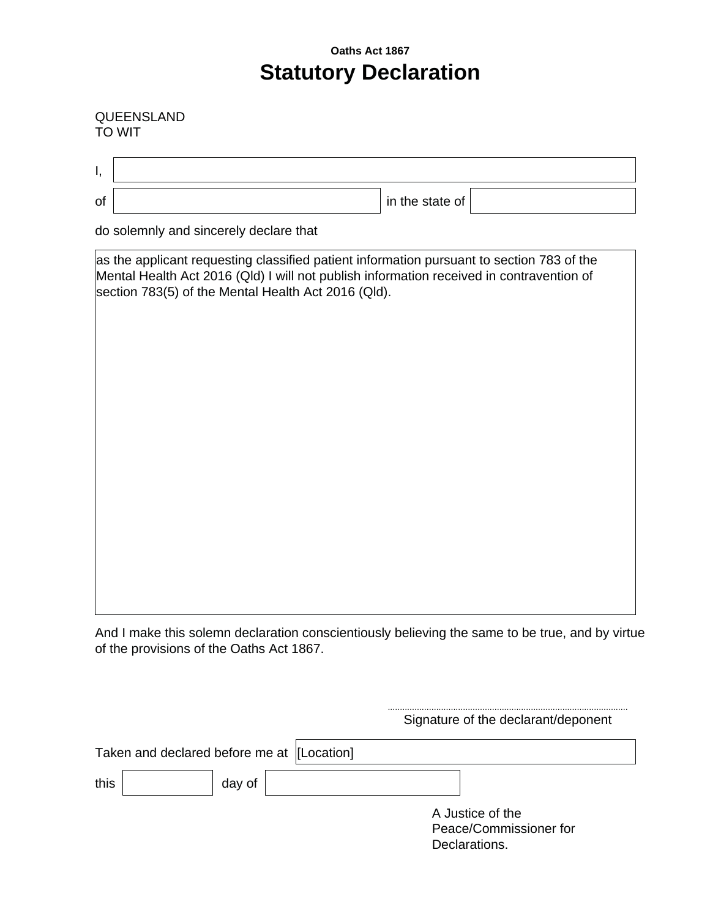# **Oaths Act 1867 Statutory Declaration**

#### QUEENSLAND TO WIT

| Ι, |                                                                                                                                                                                                                                              |  |  |  |  |  |
|----|----------------------------------------------------------------------------------------------------------------------------------------------------------------------------------------------------------------------------------------------|--|--|--|--|--|
| of | in the state of                                                                                                                                                                                                                              |  |  |  |  |  |
|    | do solemnly and sincerely declare that                                                                                                                                                                                                       |  |  |  |  |  |
|    | as the applicant requesting classified patient information pursuant to section 783 of the<br>Mental Health Act 2016 (Qld) I will not publish information received in contravention of<br>section 783(5) of the Mental Health Act 2016 (Qld). |  |  |  |  |  |
|    |                                                                                                                                                                                                                                              |  |  |  |  |  |

And I make this solemn declaration conscientiously believing the same to be true, and by virtue of the provisions of the Oaths Act 1867.

...................................................................................................

|                                             |        |  | Signature of the declarant/deponent                         |  |
|---------------------------------------------|--------|--|-------------------------------------------------------------|--|
| Taken and declared before me at [[Location] |        |  |                                                             |  |
| this                                        | day of |  |                                                             |  |
|                                             |        |  | A Justice of the<br>Peace/Commissioner for<br>Declarations. |  |